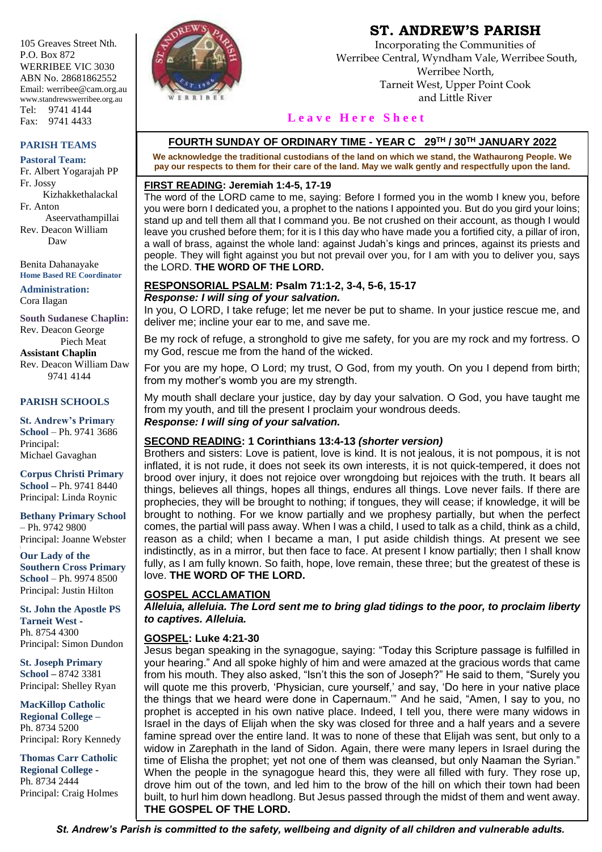105 Greaves Street Nth. P.O. Box 872 WERRIBEE VIC 3030 ABN No. 28681862552 Email: werribee@cam.org.au www.standrewswerribee.org.au Tel: 9741 4144 Fax: 9741 4433

#### **PARISH TEAMS**

**Pastoral Team:** Fr. Albert Yogarajah PP Fr. Jossy Kizhakkethalackal Fr. Anton Aseervathampillai Rev. Deacon William Daw

Benita Dahanayake **Home Based RE Coordinator**

**Administration:** Cora Ilagan

**South Sudanese Chaplin:** Rev. Deacon George Piech Meat **Assistant Chaplin** Rev. Deacon William Daw 9741 4144

#### **PARISH SCHOOLS**

**St. Andrew's Primary School** – Ph. 9741 3686 Principal: Michael Gavaghan

**Corpus Christi Primary School –** Ph. 9741 8440 Principal: Linda Roynic

**Bethany Primary School** – Ph. 9742 9800 Principal: Joanne Webster

**Our Lady of the Southern Cross Primary School** – Ph. 9974 8500 Principal: Justin Hilton

**St. John the Apostle PS Tarneit West -** Ph. 8754 4300 Principal: Simon Dundon

**St. Joseph Primary School –** 8742 3381 Principal: Shelley Ryan

**MacKillop Catholic Regional College –** Ph. 8734 5200 Principal: Rory Kennedy

**Thomas Carr Catholic Regional College -** Ph. 8734 2444 Principal: Craig Holmes



# **ST. ANDREW'S PARISH**

Incorporating the Communities of Werribee Central, Wyndham Vale, Werribee South, Werribee North, Tarneit West, Upper Point Cook and Little River

## Leave Here Sheet

## **FOURTH SUNDAY OF ORDINARY TIME - YEAR C 29TH / 30TH JANUARY 2022**

**We acknowledge the traditional custodians of the land on which we stand, the Wathaurong People. We pay our respects to them for their care of the land. May we walk gently and respectfully upon the land.**

#### **FIRST READING: Jeremiah 1:4-5, 17-19**

The word of the LORD came to me, saying: Before I formed you in the womb I knew you, before you were born I dedicated you, a prophet to the nations I appointed you. But do you gird your loins; stand up and tell them all that I command you. Be not crushed on their account, as though I would leave you crushed before them; for it is I this day who have made you a fortified city, a pillar of iron, a wall of brass, against the whole land: against Judah's kings and princes, against its priests and people. They will fight against you but not prevail over you, for I am with you to deliver you, says the LORD. **THE WORD OF THE LORD.**

#### **RESPONSORIAL PSALM: Psalm 71:1-2, 3-4, 5-6, 15-17** *Response: I will sing of your salvation.*

In you, O LORD, I take refuge; let me never be put to shame. In your justice rescue me, and deliver me; incline your ear to me, and save me.

Be my rock of refuge, a stronghold to give me safety, for you are my rock and my fortress. O my God, rescue me from the hand of the wicked.

For you are my hope, O Lord; my trust, O God, from my youth. On you I depend from birth; from my mother's womb you are my strength.

My mouth shall declare your justice, day by day your salvation. O God, you have taught me from my youth, and till the present I proclaim your wondrous deeds.

## *Response: I will sing of your salvation.*

## **SECOND READING: 1 Corinthians 13:4-13** *(shorter version)*

Brothers and sisters: Love is patient, love is kind. It is not jealous, it is not pompous, it is not inflated, it is not rude, it does not seek its own interests, it is not quick-tempered, it does not brood over injury, it does not rejoice over wrongdoing but rejoices with the truth. It bears all things, believes all things, hopes all things, endures all things. Love never fails. If there are prophecies, they will be brought to nothing; if tongues, they will cease; if knowledge, it will be brought to nothing. For we know partially and we prophesy partially, but when the perfect comes, the partial will pass away. When I was a child, I used to talk as a child, think as a child, reason as a child; when I became a man, I put aside childish things. At present we see indistinctly, as in a mirror, but then face to face. At present I know partially; then I shall know fully, as I am fully known. So faith, hope, love remain, these three; but the greatest of these is love. **THE WORD OF THE LORD.**

## **GOSPEL ACCLAMATION**

*Alleluia, alleluia. The Lord sent me to bring glad tidings to the poor, to proclaim liberty to captives. Alleluia.*

## **GOSPEL: Luke 4:21-30**

Jesus began speaking in the synagogue, saying: "Today this Scripture passage is fulfilled in your hearing." And all spoke highly of him and were amazed at the gracious words that came from his mouth. They also asked, "Isn't this the son of Joseph?" He said to them, "Surely you will quote me this proverb, 'Physician, cure yourself,' and say, 'Do here in your native place the things that we heard were done in Capernaum.'" And he said, "Amen, I say to you, no prophet is accepted in his own native place. Indeed, I tell you, there were many widows in Israel in the days of Elijah when the sky was closed for three and a half years and a severe famine spread over the entire land. It was to none of these that Elijah was sent, but only to a widow in Zarephath in the land of Sidon. Again, there were many lepers in Israel during the time of Elisha the prophet; yet not one of them was cleansed, but only Naaman the Syrian." When the people in the synagogue heard this, they were all filled with fury. They rose up, drove him out of the town, and led him to the brow of the hill on which their town had been built, to hurl him down headlong. But Jesus passed through the midst of them and went away. **THE GOSPEL OF THE LORD.**

*St. Andrew's Parish is committed to the safety, wellbeing and dignity of all children and vulnerable adults.*